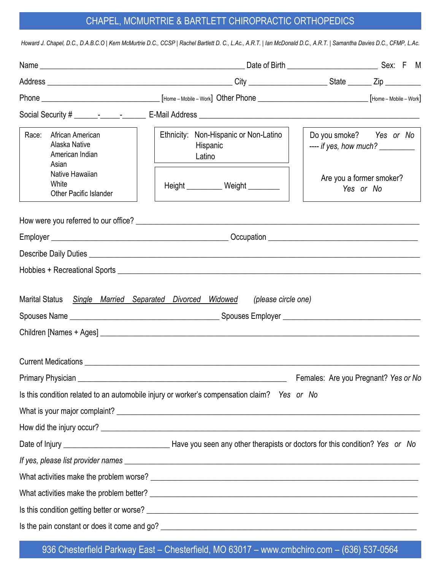# CHAPEL, MCMURTRIE & BARTLETT CHIROPRACTIC ORTHOPEDICS

| Race:<br>African American<br>Alaska Native<br>American Indian<br>Asian | Ethnicity: Non-Hispanic or Non-Latino<br>Hispanic<br>Latino                                                     | Do you smoke? Yes or No<br>---- if yes, how much? _________ |
|------------------------------------------------------------------------|-----------------------------------------------------------------------------------------------------------------|-------------------------------------------------------------|
| Native Hawaiian<br>White<br><b>Other Pacific Islander</b>              | Height ___________ Weight ________                                                                              | Are you a former smoker?<br>Yes or No                       |
|                                                                        |                                                                                                                 |                                                             |
|                                                                        |                                                                                                                 |                                                             |
|                                                                        |                                                                                                                 |                                                             |
|                                                                        |                                                                                                                 |                                                             |
| <b>Marital Status</b>                                                  | Single Married Separated Divorced Widowed<br>(please circle one)                                                |                                                             |
| <b>Current Medications</b>                                             |                                                                                                                 |                                                             |
|                                                                        | Primary Physician entry and the contract of the contract of the contract of the contract of the contract of the | Females: Are you Pregnant? Yes or No                        |
|                                                                        | Is this condition related to an automobile injury or worker's compensation claim? Yes or No                     |                                                             |
|                                                                        |                                                                                                                 |                                                             |
|                                                                        |                                                                                                                 |                                                             |
|                                                                        |                                                                                                                 |                                                             |
|                                                                        |                                                                                                                 |                                                             |
|                                                                        |                                                                                                                 |                                                             |
|                                                                        |                                                                                                                 |                                                             |
|                                                                        |                                                                                                                 |                                                             |
|                                                                        |                                                                                                                 |                                                             |

936 Chesterfield Parkway East – Chesterfield, MO 63017 – www.cmbchiro.com – (636) 537-0564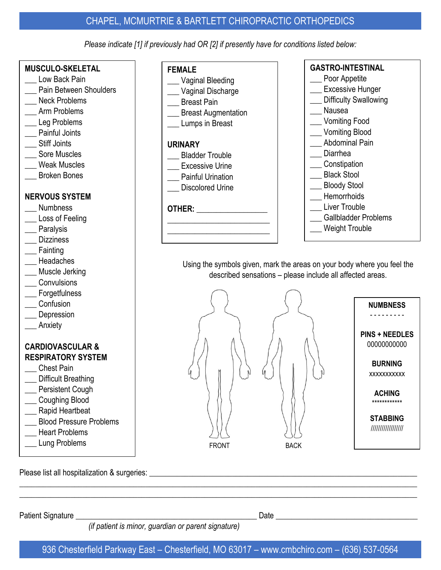## CHAPEL, MCMURTRIE & BARTLETT CHIROPRACTIC ORTHOPEDICS

*Please indicate [1] if previously had OR [2] if presently have for conditions listed below:*

\_\_\_ Vaginal Bleeding \_\_\_ Vaginal Discharge

Breast Augmentation

Breast Pain

\_\_\_ Lumps in Breast

\_\_\_ Bladder Trouble \_\_\_ Excessive Urine Painful Urination Discolored Urine

**OTHER: \_\_\_\_\_\_\_\_\_\_\_\_\_\_\_\_\_\_ \_\_\_\_\_\_\_\_\_\_\_\_\_\_\_\_\_\_\_\_\_\_\_\_\_\_ \_\_\_\_\_\_\_\_\_\_\_\_\_\_\_\_\_\_\_\_\_\_\_\_\_\_**

**FEMALE**

**URINARY**

#### **MUSCULO-SKELETAL**

- Low Back Pain
- Pain Between Shoulders
- Neck Problems
- \_\_\_ Arm Problems
- \_\_\_ Leg Problems
- \_\_\_ Painful Joints
- \_\_\_ Stiff Joints
- \_\_\_ Sore Muscles
- \_\_\_ Weak Muscles
- \_\_\_ Broken Bones

#### **NERVOUS SYSTEM**

- \_\_\_ Numbness
- \_\_\_ Loss of Feeling
- \_\_\_ Paralysis
- \_\_\_ Dizziness
- \_\_\_ Fainting
- \_\_\_ Headaches
- Muscle Jerking
- **Convulsions**
- \_\_\_ Forgetfulness
- \_\_\_ Confusion
- **Depression**
- Anxiety

#### **CARDIOVASCULAR & RESPIRATORY SYSTEM**

- Chest Pain
- \_\_\_ Difficult Breathing
- \_\_\_ Persistent Cough
- Coughing Blood
- \_\_\_ Rapid Heartbeat
- \_\_\_ Blood Pressure Problems
- Heart Problems
- \_\_\_ Lung Problems

Please list all hospitalization & surgeries: \_\_\_\_\_\_\_\_\_\_\_\_\_\_\_\_\_\_\_\_\_\_\_\_\_\_\_\_\_\_\_\_\_\_\_\_\_\_\_\_\_\_\_\_\_\_\_\_\_\_\_\_\_\_\_\_\_\_\_\_\_\_\_\_\_\_\_\_

Patient Signature **Example 2** and the set of the set of the set of the set of the set of the set of the set of the set of the set of the set of the set of the set of the set of the set of the set of the set of the set of t

 *(if patient is minor, guardian or parent signature)*

936 Chesterfield Parkway East – Chesterfield, MO 63017 – www.cmbchiro.com – (636) 537-0564

 $\_$  , and the set of the set of the set of the set of the set of the set of the set of the set of the set of the set of the set of the set of the set of the set of the set of the set of the set of the set of the set of th  $\_$  , and the set of the set of the set of the set of the set of the set of the set of the set of the set of the set of the set of the set of the set of the set of the set of the set of the set of the set of the set of th

- **GASTRO-INTESTINAL** Poor Appetite **Excessive Hunger** Difficulty Swallowing \_\_\_ Nausea \_\_\_ Vomiting Food \_\_\_ Vomiting Blood Abdominal Pain Diarrhea \_\_\_ Constipation Black Stool \_\_\_ Bloody Stool \_\_\_ Hemorrhoids Liver Trouble Gallbladder Problems \_\_\_ Weight Trouble
- Using the symbols given, mark the areas on your body where you feel the
	- described sensations please include all affected areas.



| <b>PINS + NEEDLES</b> |
|-----------------------|
| 00000000000           |
| <b>BURNING</b>        |
| XXXXXXXXXX            |
|                       |

**ACHING** \*\*\*\*\*\*\*\*\*\*\*\*

**STABBING** //////////////////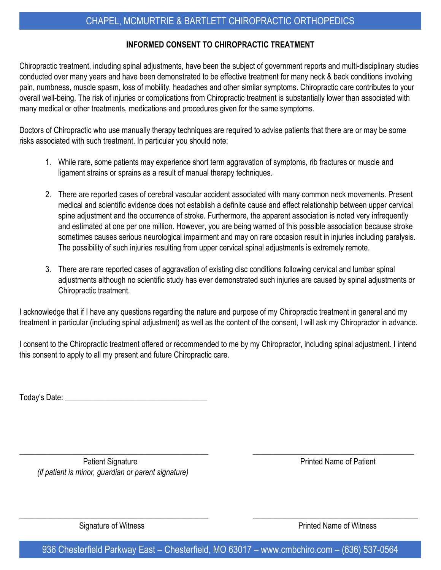## **INFORMED CONSENT TO CHIROPRACTIC TREATMENT**

Chiropractic treatment, including spinal adjustments, have been the subject of government reports and multi-disciplinary studies conducted over many years and have been demonstrated to be effective treatment for many neck & back conditions involving pain, numbness, muscle spasm, loss of mobility, headaches and other similar symptoms. Chiropractic care contributes to your overall well-being. The risk of injuries or complications from Chiropractic treatment is substantially lower than associated with many medical or other treatments, medications and procedures given for the same symptoms.

Doctors of Chiropractic who use manually therapy techniques are required to advise patients that there are or may be some risks associated with such treatment. In particular you should note:

- 1. While rare, some patients may experience short term aggravation of symptoms, rib fractures or muscle and ligament strains or sprains as a result of manual therapy techniques.
- 2. There are reported cases of cerebral vascular accident associated with many common neck movements. Present medical and scientific evidence does not establish a definite cause and effect relationship between upper cervical spine adjustment and the occurrence of stroke. Furthermore, the apparent association is noted very infrequently and estimated at one per one million. However, you are being warned of this possible association because stroke sometimes causes serious neurological impairment and may on rare occasion result in injuries including paralysis. The possibility of such injuries resulting from upper cervical spinal adjustments is extremely remote.
- 3. There are rare reported cases of aggravation of existing disc conditions following cervical and lumbar spinal adjustments although no scientific study has ever demonstrated such injuries are caused by spinal adjustments or Chiropractic treatment.

I acknowledge that if I have any questions regarding the nature and purpose of my Chiropractic treatment in general and my treatment in particular (including spinal adjustment) as well as the content of the consent, I will ask my Chiropractor in advance.

I consent to the Chiropractic treatment offered or recommended to me by my Chiropractor, including spinal adjustment. I intend this consent to apply to all my present and future Chiropractic care.

Today's Date:  $\blacksquare$ 

Patient Signature **Printed Name of Patient**  *(if patient is minor, guardian or parent signature)*

Signature of Witness **Printed Name of Witness** 

936 Chesterfield Parkway East – Chesterfield, MO 63017 – www.cmbchiro.com – (636) 537-0564

 $\_$  , and the set of the set of the set of the set of the set of the set of the set of the set of the set of the set of the set of the set of the set of the set of the set of the set of the set of the set of the set of th

 $\_$  , and the set of the set of the set of the set of the set of the set of the set of the set of the set of the set of the set of the set of the set of the set of the set of the set of the set of the set of the set of th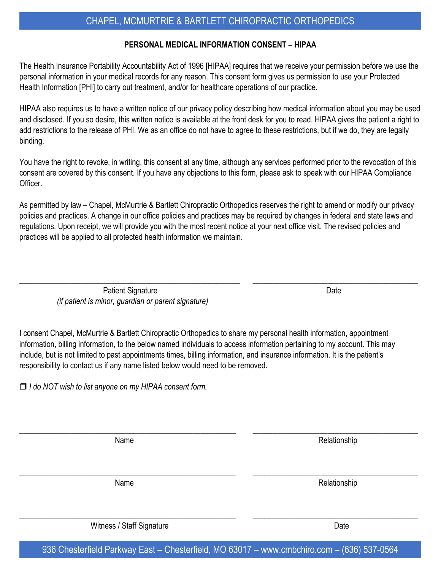## CHAPEL, MCMURTRIE & BARTLETT CHIROPRACTIC ORTHOPEDICS

#### **PERSONAL MEDICAL INFORMATION CONSENT – HIPAA**

The Health Insurance Portability Accountability Act of 1996 [HIPAA] requires that we receive your permission before we use the personal information in your medical records for any reason. This consent form gives us permission to use your Protected Health Information [PHI] to carry out treatment, and/or for healthcare operations of our practice.

HIPAA also requires us to have a written notice of our privacy policy describing how medical information about you may be used and disclosed. If you so desire, this written notice is available at the front desk for you to read. HIPAA gives the patient a right to add restrictions to the release of PHI. We as an office do not have to agree to these restrictions, but if we do, they are legally binding.

You have the right to revoke, in writing, this consent at any time, although any services performed prior to the revocation of this consent are covered by this consent. If you have any objections to this form, please ask to speak with our HIPAA Compliance Officer.

As permitted by law – Chapel, McMurtrie & Bartlett Chiropractic Orthopedics reserves the right to amend or modify our privacy policies and practices. A change in our office policies and practices may be required by changes in federal and state laws and regulations. Upon receipt, we will provide you with the most recent notice at your next office visit. The revised policies and practices will be applied to all protected health information we maintain.

 $\_$  , and the set of the set of the set of the set of the set of the set of the set of the set of the set of the set of the set of the set of the set of the set of the set of the set of the set of the set of the set of th

Patient Signature Date  *(if patient is minor, guardian or parent signature)*

I consent Chapel, McMurtrie & Bartlett Chiropractic Orthopedics to share my personal health information, appointment information, billing information, to the below named individuals to access information pertaining to my account. This may include, but is not limited to past appointments times, billing information, and insurance information. It is the patient's responsibility to contact us if any name listed below would need to be removed.

*I do NOT wish to list anyone on my HIPAA consent form.*

 $\_$  , and the set of the set of the set of the set of the set of the set of the set of the set of the set of the set of the set of the set of the set of the set of the set of the set of the set of the set of the set of th Name Relationship  $\_$  , and the set of the set of the set of the set of the set of the set of the set of the set of the set of the set of the set of the set of the set of the set of the set of the set of the set of the set of the set of th Name Relationship  $\_$  , and the set of the set of the set of the set of the set of the set of the set of the set of the set of the set of the set of the set of the set of the set of the set of the set of the set of the set of the set of th Witness / Staff Signature Date Date Date Date

936 Chesterfield Parkway East – Chesterfield, MO 63017 – www.cmbchiro.com – (636) 537-0564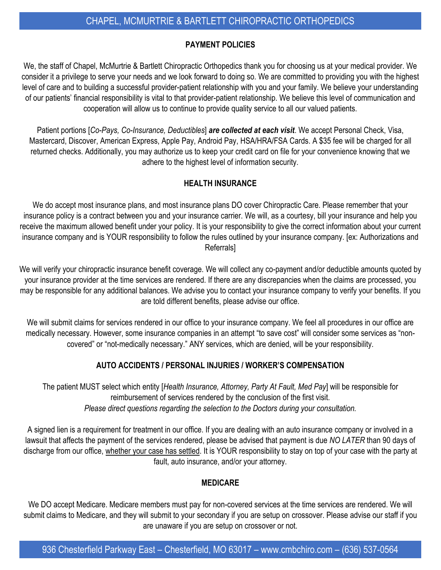## **PAYMENT POLICIES**

We, the staff of Chapel, McMurtrie & Bartlett Chiropractic Orthopedics thank you for choosing us at your medical provider. We consider it a privilege to serve your needs and we look forward to doing so. We are committed to providing you with the highest level of care and to building a successful provider-patient relationship with you and your family. We believe your understanding of our patients' financial responsibility is vital to that provider-patient relationship. We believe this level of communication and cooperation will allow us to continue to provide quality service to all our valued patients.

Patient portions [*Co-Pays, Co-Insurance, Deductibles*] *are collected at each visit*. We accept Personal Check, Visa, Mastercard, Discover, American Express, Apple Pay, Android Pay, HSA/HRA/FSA Cards. A \$35 fee will be charged for all returned checks. Additionally, you may authorize us to keep your credit card on file for your convenience knowing that we adhere to the highest level of information security.

### **HEALTH INSURANCE**

We do accept most insurance plans, and most insurance plans DO cover Chiropractic Care. Please remember that your insurance policy is a contract between you and your insurance carrier. We will, as a courtesy, bill your insurance and help you receive the maximum allowed benefit under your policy. It is your responsibility to give the correct information about your current insurance company and is YOUR responsibility to follow the rules outlined by your insurance company. [ex: Authorizations and Referrals]

We will verify your chiropractic insurance benefit coverage. We will collect any co-payment and/or deductible amounts quoted by your insurance provider at the time services are rendered. If there are any discrepancies when the claims are processed, you may be responsible for any additional balances. We advise you to contact your insurance company to verify your benefits. If you are told different benefits, please advise our office.

We will submit claims for services rendered in our office to your insurance company. We feel all procedures in our office are medically necessary. However, some insurance companies in an attempt "to save cost" will consider some services as "noncovered" or "not-medically necessary." ANY services, which are denied, will be your responsibility.

## **AUTO ACCIDENTS / PERSONAL INJURIES / WORKER'S COMPENSATION**

The patient MUST select which entity [*Health Insurance, Attorney, Party At Fault, Med Pay*] will be responsible for reimbursement of services rendered by the conclusion of the first visit. *Please direct questions regarding the selection to the Doctors during your consultation.* 

A signed lien is a requirement for treatment in our office. If you are dealing with an auto insurance company or involved in a lawsuit that affects the payment of the services rendered, please be advised that payment is due *NO LATER* than 90 days of discharge from our office, whether your case has settled. It is YOUR responsibility to stay on top of your case with the party at fault, auto insurance, and/or your attorney.

#### **MEDICARE**

We DO accept Medicare. Medicare members must pay for non-covered services at the time services are rendered. We will submit claims to Medicare, and they will submit to your secondary if you are setup on crossover. Please advise our staff if you are unaware if you are setup on crossover or not.